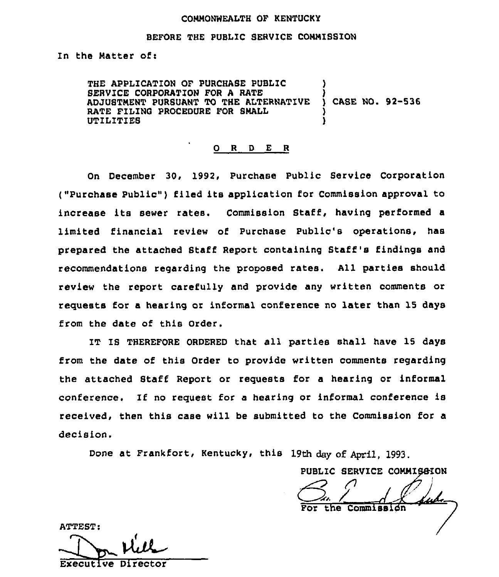#### CONNONWEALTH OF KENTUCKY

#### BEFORE THE PUBLIC SERVICE CONNISSION

In the Matter of:

THE APPLICATION OF PURCHASE PUBLIC SERVICE CORPORATION FOR A RATE ADJUSTMENT PURSUANT TO THE ALTERNATIVE ) CASE NO. 92-536 RATE FILING PROCEDURE FOR SMALL UTILITIES )

#### 0 R <sup>D</sup> E <sup>R</sup>

On December 30, 1992, Purchase Public Service Corporation ("Purchase Public" ) filed its application for Commission approval to increase its sewer rates. Commission Staff, having performed <sup>a</sup> limited I'inancial review of Purchase Public's operations, has prepared the attached Staff Report containing Staff's findings and recommendations regarding the proposed rates. All parties should review the report carefully and provide any written comments or requests for a hearing or informal conference no later than 15 days from the date of this Order.

IT IS THEREFORE ORDERED that all parties shall have 15 days from the date of this Order to provide written comments regarding the attached Staff Report or requests for a hearing or informal conference. If no request for a hearing or informal conference is received, then this case will be submitted to the Commission for a decision.

Done at Frankfort, Kentucky, this 19th day of April, 1993.

PUBLIC SERVICE COMMISSION

the Commission

ATTEST:

ATTEST:<br>Executive Director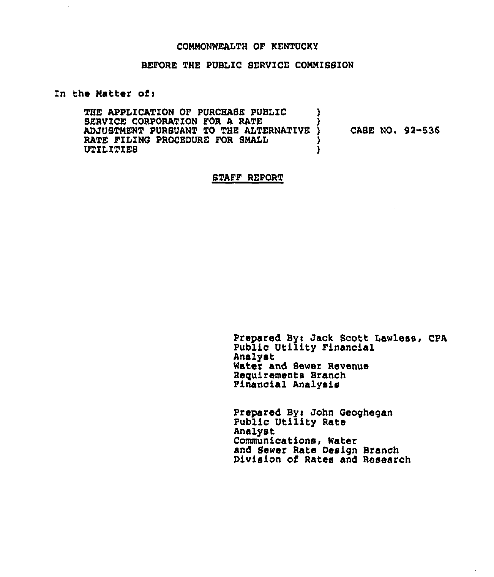### CONNONWEALTH OF KENTUCKY

# BEFORE THE PUBLIC SERVICE COMMISSION

### In the Natter ofi

THE APPLICATION OF PURCHASE PUBLIC  $\qquad$ SERVICE CORPORATION FOR A RATE ( )<br>ADJUSTMENT PURSUANT TO THE ALTERNATIVE ) ADJUSTMENT PURSUANT TO THE ALTERNATIVE )<br>RATE FILING PROCEDURE FOR SMALL RATE FILING PROCEDURE FOR SMALL  $\left\{\begin{array}{ccc} \text{V}\end{array}\right\}$ UTILITIES CASE NO. 92-536

#### STAFF REPORT

Prepared By: Jack Scott Lawless, CPA Public Utility Financial Analyst Water and Sewer Revenue Requirements Branch Finanoial Analysis

Prepared By: John Geoghegan Public Utility Rate Analyst Communications, Water and Sewer Rate Design Branch Division of Rates and Research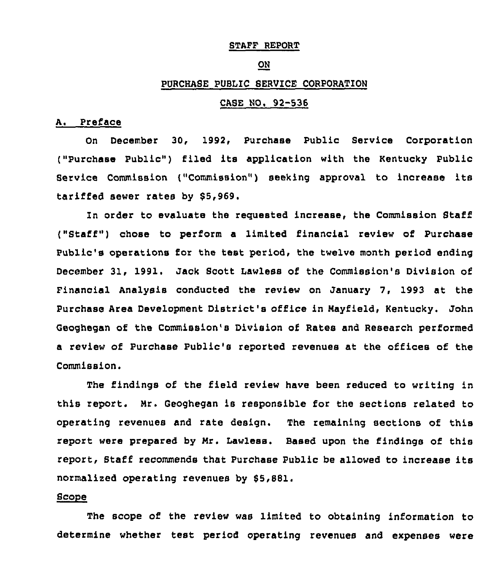### STAFF REPORT

#### ON

# PURCHASE PUBLIC SERVICE CORPORATION

## CASE NO, 92-536

### A. Preface

On December 3Q, 1992, Purchase Public Service Corporation ("Purchase Public") filed its application with the Kentucky Public Service Commission {"Commission") seeking approval to increase its tariffed sewer rates by \$5,969.

In order to evaluate the requested increase, the Commission Staff ("Staff" ) chose to perform <sup>a</sup> limited financial review of Purchase Public's operations for the test period, the twelve month period ending December 31, 1991. Jack Scott Lawless of the Commission's Division of Financial Analysis conducted the review on January 7, 1993 at the Purchase Area Development District's office in Mayfield, Kentucky. John Qeoghegan of the Commission's Division of Rates and Research performed a review of Purchase Public's reported revenues at the offices of the Commission.

The findings of the field review have been reduced to writing in this report. Mr. Geoghegan is responsible for the sections related to operating revenues and rate design. The remaining sections of this report were prepared by Mr. Lawless. Based upon the findings of this report, Staff recommends that Purchase Public be allowed to increase its normalized operating revenues by 85,881.

# Scope

The scope of the review was limited to obtaining information to determine whether test period operating revenues and expenses were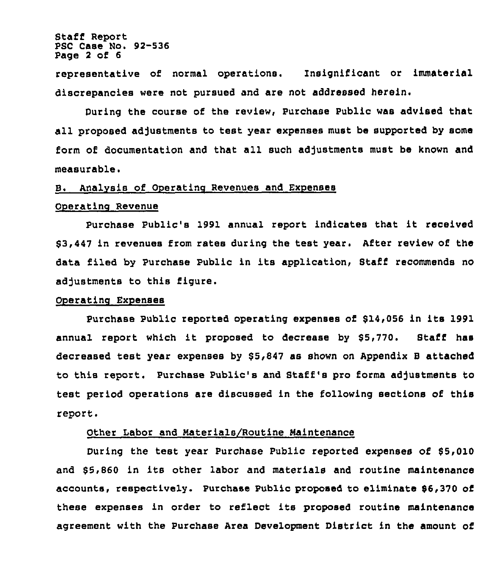Staff Report PSC Case No. 92-536 Page <sup>2</sup> of 6

representative of normal operations. Insignificant or immaterial discrepancies were not pursued and are not addressed herein.

During the course of the review, Purchase Public was advised that all proposed adjustments to test year expenses must be supported by some form of documentation and that all such adjustments must be known and measurable.

#### B. Analysis of Operatinc Revenues and Expenses

#### Ooeratinc Revenue

Purchase Public's 1991 annual report indicates that it received 63,447 in revenues from rates during the test year. After review of the data filed by Purchase Public in its application, Staff recommends no adjustments to this figure.

### Operatinc Exoenses

Purchase Public reported operating expenses of \$14,056 in its 1991 annual report which it proposed to decrease by 55,770. Staff has decreased test year expenses by \$5,847 as shown on Appendix B attached to this report. Purchase Public's and Staff's pro forma adjustments to test period operations are discussed in the following sections of this report.

### Other Labor and Materials/Routine Maintenance

During the test year Purchase Public reported expenses of 55,010 and \$5,860 in its other labor and materials and routine maintenance accounts, respectively. Purchase Public proposed to eliminate \$6,370 of these expenses in order to reflect its proposed routine maintenance agreement with the Purchase Area Development District in the amount of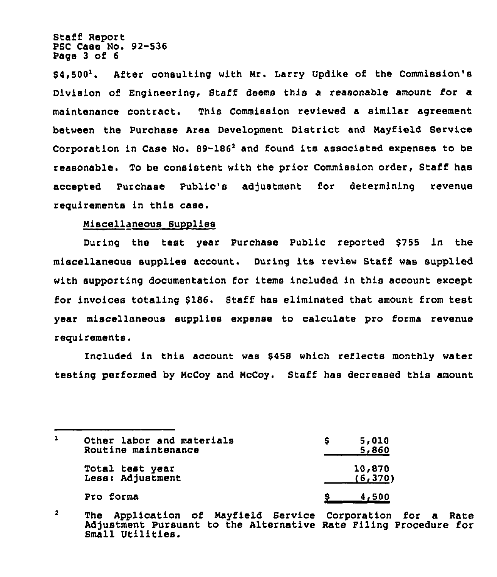Staff Report PSC Case No. 92-536 Page 3 of 6

 $$4.500<sup>1</sup>$ . After consulting with Mr. Larry Updike of the Commission's Division of Engineering, Staff deems this a reasonable amount for a maintenance contract. This Commission reviewed a similar agreement between the Purchase Area Development District and Mayfield Service Corporation in Case No. 89-186<sup>2</sup> and found its associated expenses to be reasonable. To be consistent with the prior Commission order, Staff has accepted Purchase Public's adjustment for determining revenue requirements in this case.

## Miscellaneous Supplies

During the test year Purchase Public reported 6755 in the miscellaneous supplies account. During its review Staff was supplied with supporting documentation for items included in this account except for invoices totaling 6186. Staff has eliminated that amount from test year miscellaneous supplies expense to calculate pro forma revenue requirements.

Included in this account was 8458 which reflects monthly water testing performed by McCoy and McCoy. Staff has decreased this amount

| 1 | Other labor and materials<br>Routine maintenance | 5,010<br>5,860     |
|---|--------------------------------------------------|--------------------|
|   | Total test year<br>Less: Adjustment              | 10,870<br>(6, 370) |
|   | Pro forma                                        | <u>4,500</u>       |

 $\overline{\mathbf{2}}$ The Application of Mayfield Service Corporation for a Rate Adjustment Pursuant to the Alternative Rate Filing Procedure for Small Utilities.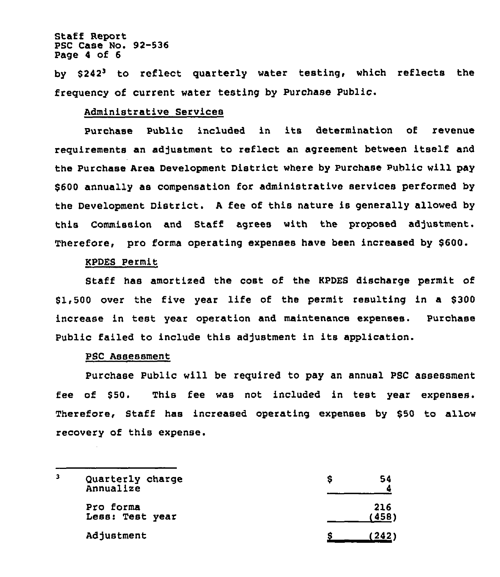### Staff Report PSC Case No. 92-536 Page 4 of 6

by \$242<sup>3</sup> to reflect quarterly water testing, which reflects the frequency of current water testing by Purchase Public.

## Administrative Services

Purchase Public included in its determination of revenue requirements an adjustment to reflect an agreement between itself and the Purchase Area Development District where by Purchase Public will pay \$600 annually as compensation for administrative services performed by the Development District. <sup>A</sup> fee of this nature is generally allowed by this Commission and Staff agrees with the proposed adjustment. Therefore, pro forma operating expenses have been increased by 6600.

### KPDES Permit

Staff has amortized the cost of the KPDES discharge permit of 61,500 over the five year life of the permit resulting in a 6300 increase in test year operation and maintenance expenses. purchase Public failed to include this adjustment in its application.

## PSC Assessment

Purchase Public will be required to pay an annual PSC assessment fee of \$50. This fee was not included in test year expenses. Therefore, Staff has increased operating expenses by \$50 to allow recovery of this expense.

| 3 | Quarterly charge<br>Annualize | 54<br>s        |
|---|-------------------------------|----------------|
|   | Pro forma<br>Less: Test year  | 216<br>' 458 ' |
|   | Adjustment                    | (242)          |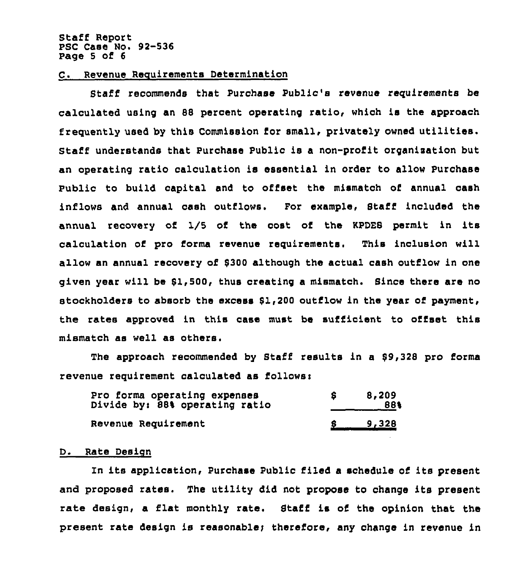#### Staff Report PSC Case No. 92-536 Page 5 of 6

## C. Revenue Requirements Determination

Staff recommends that Purchase Public's revenue requirements be calculated using an 88 percent operating ratio, which is the approach frequently used by this Commission for small, privately owned utilities. Staff understands that Purchase Public is a non-profit organisation but an operating ratio calculation is essential in order to allow Purchase Public to build capital and to offset the mismatch of annual cash inflows and annual cash outflows. For example, Staff included the annual recovery of 1/5 of the cost of the KPDES permit in its calculation of pro forma revenue requirements. This inclusion will allow an annual recovery of 8300 although the actual cash outflow in one given year will be Sl,500, thus creating a mismatch. Since there are no stockholders to absorb the excess 8l,200 outflow in the year of payment, the rates approved in this case must be sufficient to offset this mismatch as well as others.

The approach recommended by Staff results in a \$9,328 pro forma revenue requirement calculated as follows:

| Pro forma operating expenses<br>Divide by: 88% operating ratio | 8,209<br>88%        |
|----------------------------------------------------------------|---------------------|
| Revenue Requirement                                            | $\frac{6}{2}$ 9,328 |

# D. Rate Design

In its application, Purchase Public filed a schedule of its present and proposed rates. The utility did not propose to change its present rate design, a flat monthly rate. Staff is of the opinion that the present rate design is reasonable; therefore, any change in revenue in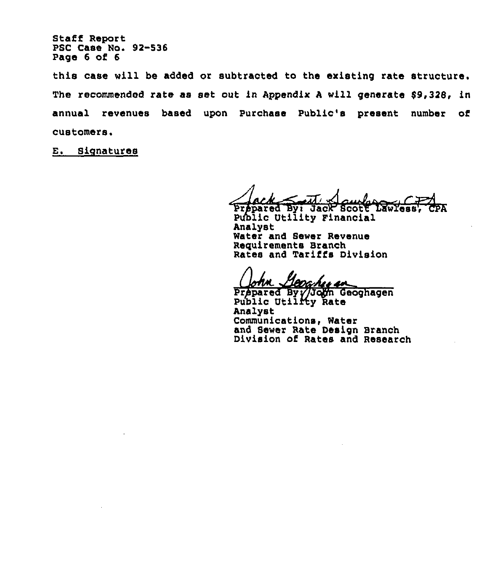Staff Report PSC Case No. 92-536 Page 6 of 6

this case will be added or subtracted to the existing rate structure. The recommended rate as set out in Appendix A will generate \$9,328, in annual revenues based upon Purchase Public's present number of customers.

E. Signatures

Prepared By: Jack Scott LawYess

Public Utility Financial Analyst Water and Sewer Revenue Requirements Branch Rates and Tariffs Division

0a hez ar

Prepared By //John Geoghage Public Utilffy Rate Analyst Communications, Water and Sewer Rate Design Branch Division of Rates and Research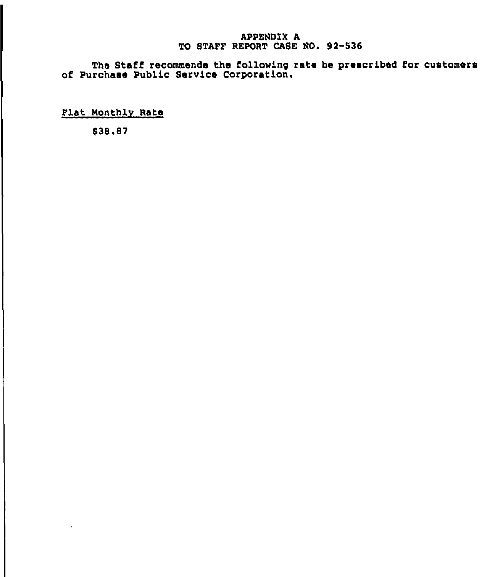# APPENDIX A TO STAFF REPORT CASE NO. 92-536

The Staff recommends the following rate be prescribed for customer of Purchase Public Service Corporation.

Flat Monthly Rate

938.87